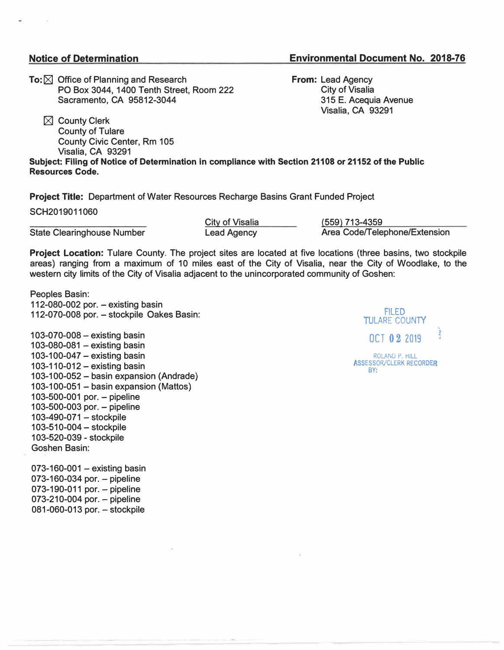## **Notice of Determination**

## **Environmental Document No. 2018-76**

**To:** ⊠ Office of Planning and Research **PO Box 3044, 1400 Tenth Street, Room 222 Sacramento, CA 95812-3044** 

**� County Clerk County of Tulare County Civic Center, Rm 105 Visalia, CA 93291** 

**From: Lead Agency City of Visalia 315 E. Acequia Avenue Visalia, CA 93291** 

**Subject: Filing of Notice of Determination in compliance with Section 21108 or 21152 of the Public Resources Code.** 

**Project Title: Department of Water Resources Recharge Basins Grant Funded Project** 

**SCH2019011060** 

**State Clearinghouse Number** 

**City of Visalia Lead Agency** 

**(559) 713-4359 Area Code/Telephone/Extension**

**Project Location: Tulare County. The project sites are located at five locations (three basins, two stockpile areas) ranging from a maximum of 10 miles east of the City of Visalia, near the City of Woodlake, to the western city limits of the City of Visalia adjacent to the unincorporated community of Goshen:** 

**Peoples Basin: 112-080-002 por. - existing basin 112-070-008 por. - stockpile Oakes Basin:**

**103-070-008 - existing basin 103-080-081 - existing basin 103-100-047 - existing basin 103-110-012- existing basin 103-100-052- basin expansion (Andrade) 103-100-051 - basin expansion (Mattos) 103-500-001 por. - pipeline 103-500-003 por. - pipeline 103-490-071 - stockpile 103-510-004 - stockpile 103-520-039 - stockpile Goshen Basin:**

**073-160-001 - existing basin 073-160-034 por. - pipeline 073-190-011 por. - pipeline 073-210-004 por. - pipeline 081-060-013 por. - stockpile**

FILED **TULARE COUNTY** .,\_ OCT 02 2019 ROLAND P. HILL ASSESSOR/CLERK RECORDER

BY: